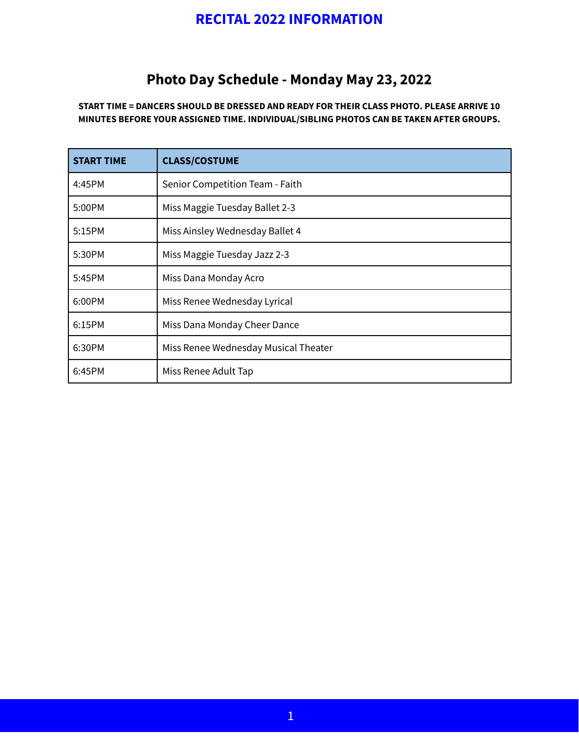## **RECITAL 2022 INFORMATION**

## **Photo Day Schedule - Monday May 23, 2022**

**START TIME = DANCERS SHOULD BE DRESSED AND READY FOR THEIR CLASS PHOTO. PLEASE ARRIVE 10 MINUTES BEFORE YOUR ASSIGNED TIME. INDIVIDUAL/SIBLING PHOTOS CAN BE TAKEN AFTER GROUPS.**

| <b>START TIME</b> | <b>CLASS/COSTUME</b>                 |
|-------------------|--------------------------------------|
| 4:45PM            | Senior Competition Team - Faith      |
| 5:00PM            | Miss Maggie Tuesday Ballet 2-3       |
| 5:15PM            | Miss Ainsley Wednesday Ballet 4      |
| 5:30PM            | Miss Maggie Tuesday Jazz 2-3         |
| 5:45PM            | Miss Dana Monday Acro                |
| 6:00PM            | Miss Renee Wednesday Lyrical         |
| 6:15PM            | Miss Dana Monday Cheer Dance         |
| 6:30PM            | Miss Renee Wednesday Musical Theater |
| 6:45PM            | Miss Renee Adult Tap                 |